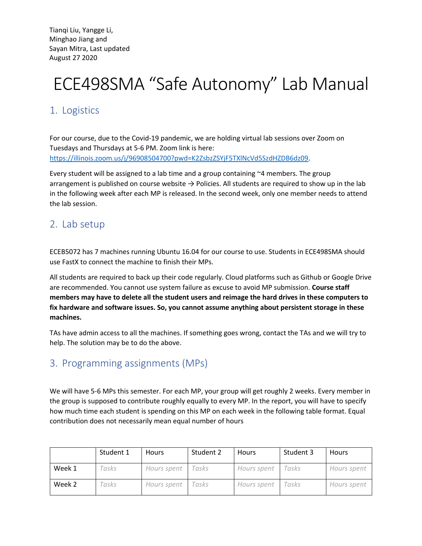Tianqi Liu, Yangge Li, Minghao Jiang and Sayan Mitra, Last updated August 27 2020

# ECE498SMA "Safe Autonomy" Lab Manual

# 1. Logistics

For our course, due to the Covid-19 pandemic, we are holding virtual lab sessions over Zoom on Tuesdays and Thursdays at 5-6 PM. Zoom link is here: https://illinois.zoom.us/j/96908504700?pwd=K2ZsbzZSYjF5TXlNcVd5SzdHZDB6dz09.

Every student will be assigned to a lab time and a group containing  $\sim$ 4 members. The group arrangement is published on course website  $\rightarrow$  Policies. All students are required to show up in the lab in the following week after each MP is released. In the second week, only one member needs to attend the lab session.

#### 2. Lab setup

ECEB5072 has 7 machines running Ubuntu 16.04 for our course to use. Students in ECE498SMA should use FastX to connect the machine to finish their MPs.

All students are required to back up their code regularly. Cloud platforms such as Github or Google Drive are recommended. You cannot use system failure as excuse to avoid MP submission. **Course staff members may have to delete all the student users and reimage the hard drives in these computers to fix hardware and software issues. So, you cannot assume anything about persistent storage in these machines.** 

TAs have admin access to all the machines. If something goes wrong, contact the TAs and we will try to help. The solution may be to do the above.

#### 3. Programming assignments (MPs)

We will have 5-6 MPs this semester. For each MP, your group will get roughly 2 weeks. Every member in the group is supposed to contribute roughly equally to every MP. In the report, you will have to specify how much time each student is spending on this MP on each week in the following table format. Equal contribution does not necessarily mean equal number of hours

|        | Student 1 | <b>Hours</b> | Student 2    | Hours       | Student 3 | <b>Hours</b> |
|--------|-----------|--------------|--------------|-------------|-----------|--------------|
| Week 1 | asks      | Hours spent  | <i>rasks</i> | Hours spent | Tasks     | Hours spent  |
| Week 2 | cusks     | Hours spent  | casks        | Hours spent | Tasks     | Hours spent  |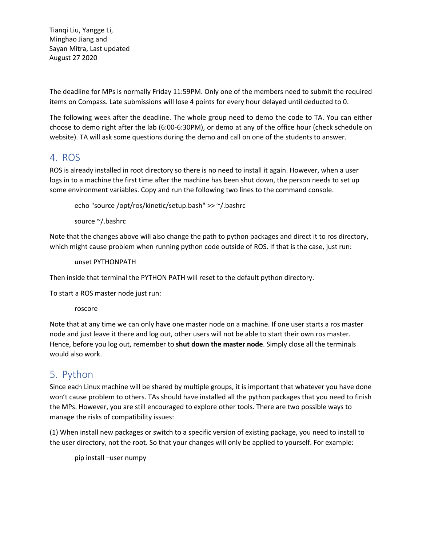Tianqi Liu, Yangge Li, Minghao Jiang and Sayan Mitra, Last updated August 27 2020

The deadline for MPs is normally Friday 11:59PM. Only one of the members need to submit the required items on Compass. Late submissions will lose 4 points for every hour delayed until deducted to 0.

The following week after the deadline. The whole group need to demo the code to TA. You can either choose to demo right after the lab (6:00-6:30PM), or demo at any of the office hour (check schedule on website). TA will ask some questions during the demo and call on one of the students to answer.

#### 4. ROS

ROS is already installed in root directory so there is no need to install it again. However, when a user logs in to a machine the first time after the machine has been shut down, the person needs to set up some environment variables. Copy and run the following two lines to the command console.

echo "source /opt/ros/kinetic/setup.bash" >> ~/.bashrc

source ~/.bashrc

Note that the changes above will also change the path to python packages and direct it to ros directory, which might cause problem when running python code outside of ROS. If that is the case, just run:

unset PYTHONPATH

Then inside that terminal the PYTHON PATH will reset to the default python directory.

To start a ROS master node just run:

roscore

Note that at any time we can only have one master node on a machine. If one user starts a ros master node and just leave it there and log out, other users will not be able to start their own ros master. Hence, before you log out, remember to **shut down the master node**. Simply close all the terminals would also work.

## 5. Python

Since each Linux machine will be shared by multiple groups, it is important that whatever you have done won't cause problem to others. TAs should have installed all the python packages that you need to finish the MPs. However, you are still encouraged to explore other tools. There are two possible ways to manage the risks of compatibility issues:

(1) When install new packages or switch to a specific version of existing package, you need to install to the user directory, not the root. So that your changes will only be applied to yourself. For example:

pip install –user numpy